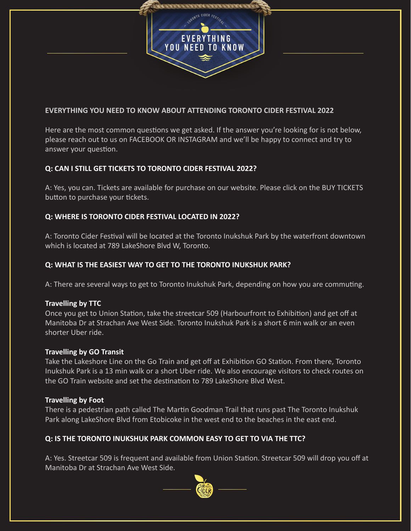

## **EVERYTHING YOU NEED TO KNOW ABOUT ATTENDING TORONTO CIDER FESTIVAL 2022**

Here are the most common questions we get asked. If the answer you're looking for is not below, please reach out to us on FACEBOOK OR INSTAGRAM and we'll be happy to connect and try to answer your question.

# **Q: CAN I STILL GET TICKETS TO TORONTO CIDER FESTIVAL 2022?**

A: Yes, you can. Tickets are available for purchase on our website. Please click on the BUY TICKETS button to purchase your tickets.

## **Q: WHERE IS TORONTO CIDER FESTIVAL LOCATED IN 2022?**

A: Toronto Cider Festival will be located at the Toronto Inukshuk Park by the waterfront downtown which is located at 789 LakeShore Blvd W, Toronto.

# **Q: WHAT IS THE EASIEST WAY TO GET TO THE TORONTO INUKSHUK PARK?**

A: There are several ways to get to Toronto Inukshuk Park, depending on how you are commuting.

#### **Travelling by TTC**

Once you get to Union Station, take the streetcar 509 (Harbourfront to Exhibition) and get off at Manitoba Dr at Strachan Ave West Side. Toronto Inukshuk Park is a short 6 min walk or an even shorter Uber ride.

#### **Travelling by GO Transit**

Take the Lakeshore Line on the Go Train and get off at Exhibition GO Station. From there, Toronto Inukshuk Park is a 13 min walk or a short Uber ride. We also encourage visitors to check routes on the GO Train website and set the destination to 789 LakeShore Blvd West.

#### **Travelling by Foot**

There is a pedestrian path called The Martin Goodman Trail that runs past The Toronto Inukshuk Park along LakeShore Blvd from Etobicoke in the west end to the beaches in the east end.

# **Q: IS THE TORONTO INUKSHUK PARK COMMON EASY TO GET TO VIA THE TTC?**

A: Yes. Streetcar 509 is frequent and available from Union Station. Streetcar 509 will drop you off at Manitoba Dr at Strachan Ave West Side.

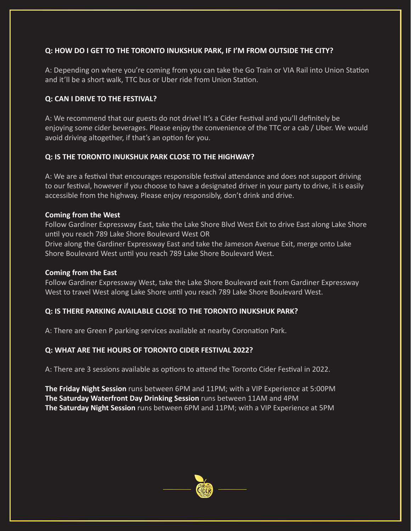## **Q: HOW DO I GET TO THE TORONTO INUKSHUK PARK, IF I'M FROM OUTSIDE THE CITY?**

A: Depending on where you're coming from you can take the Go Train or VIA Rail into Union Station and it'll be a short walk, TTC bus or Uber ride from Union Station.

# **Q: CAN I DRIVE TO THE FESTIVAL?**

A: We recommend that our guests do not drive! It's a Cider Festival and you'll definitely be enjoying some cider beverages. Please enjoy the convenience of the TTC or a cab / Uber. We would avoid driving altogether, if that's an option for you.

## **Q: IS THE TORONTO INUKSHUK PARK CLOSE TO THE HIGHWAY?**

A: We are a festival that encourages responsible festival attendance and does not support driving to our festival, however if you choose to have a designated driver in your party to drive, it is easily accessible from the highway. Please enjoy responsibly, don't drink and drive.

## **Coming from the West**

Follow Gardiner Expressway East, take the Lake Shore Blvd West Exit to drive East along Lake Shore un�l you reach 789 Lake Shore Boulevard West OR

Drive along the Gardiner Expressway East and take the Jameson Avenue Exit, merge onto Lake Shore Boulevard West until you reach 789 Lake Shore Boulevard West.

#### **Coming from the East**

Follow Gardiner Expressway West, take the Lake Shore Boulevard exit from Gardiner Expressway West to travel West along Lake Shore until you reach 789 Lake Shore Boulevard West.

# **Q: IS THERE PARKING AVAILABLE CLOSE TO THE TORONTO INUKSHUK PARK?**

A: There are Green P parking services available at nearby Coronation Park.

# **Q: WHAT ARE THE HOURS OF TORONTO CIDER FESTIVAL 2022?**

A: There are 3 sessions available as options to attend the Toronto Cider Festival in 2022.

**The Friday Night Session** runs between 6PM and 11PM; with a VIP Experience at 5:00PM **The Saturday Waterfront Day Drinking Session** runs between 11AM and 4PM **The Saturday Night Session** runs between 6PM and 11PM; with a VIP Experience at 5PM

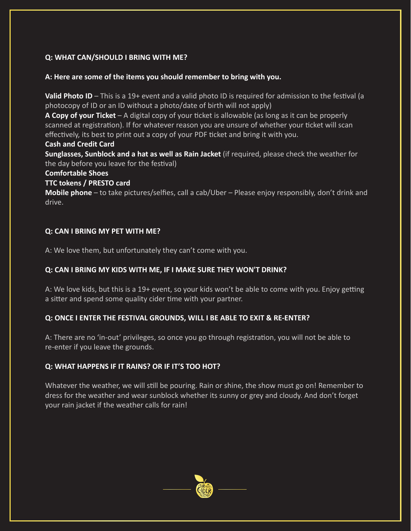# **Q: WHAT CAN/SHOULD I BRING WITH ME?**

#### **A: Here are some of the items you should remember to bring with you.**

**Valid Photo ID** – This is a 19+ event and a valid photo ID is required for admission to the festival (a photocopy of ID or an ID without a photo/date of birth will not apply)

**A Copy of your Ticket** – A digital copy of your ticket is allowable (as long as it can be properly scanned at registration). If for whatever reason you are unsure of whether your ticket will scan effectively, its best to print out a copy of your PDF ticket and bring it with you.

#### **Cash and Credit Card**

**Sunglasses, Sunblock and a hat as well as Rain Jacket** (if required, please check the weather for the day before you leave for the festival)

#### **Comfortable Shoes**

## **TTC tokens / PRESTO card**

**Mobile phone** – to take pictures/selfies, call a cab/Uber – Please enjoy responsibly, don't drink and drive.

## **Q: CAN I BRING MY PET WITH ME?**

A: We love them, but unfortunately they can't come with you.

## **Q: CAN I BRING MY KIDS WITH ME, IF I MAKE SURE THEY WON'T DRINK?**

A: We love kids, but this is a 19+ event, so your kids won't be able to come with you. Enjoy getting a sitter and spend some quality cider time with your partner.

# **Q: ONCE I ENTER THE FESTIVAL GROUNDS, WILL I BE ABLE TO EXIT & RE-ENTER?**

A: There are no 'in-out' privileges, so once you go through registration, you will not be able to re-enter if you leave the grounds.

# **Q: WHAT HAPPENS IF IT RAINS? OR IF IT'S TOO HOT?**

Whatever the weather, we will still be pouring. Rain or shine, the show must go on! Remember to dress for the weather and wear sunblock whether its sunny or grey and cloudy. And don't forget your rain jacket if the weather calls for rain!